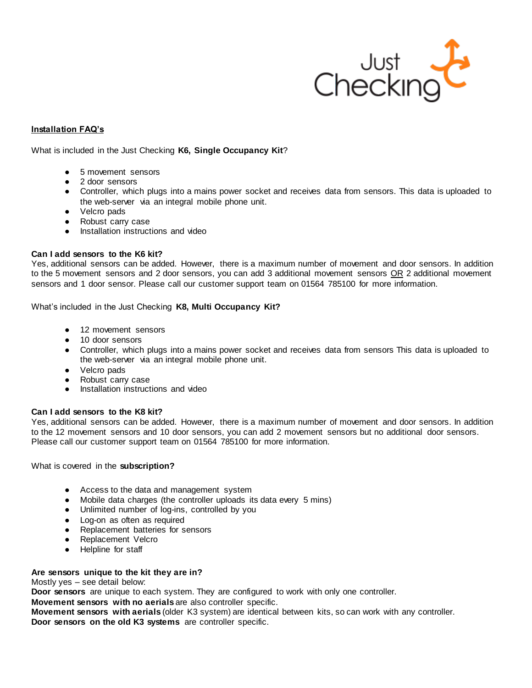

# **Installation FAQ's**

What is included in the Just Checking **K6, Single Occupancy Kit**?

- 5 movement sensors
- 2 door sensors
- Controller, which plugs into a mains power socket and receives data from sensors. This data is uploaded to the web-server via an integral mobile phone unit.
- Velcro pads
- Robust carry case
- Installation instructions and video

# **Can I add sensors to the K6 kit?**

Yes, additional sensors can be added. However, there is a maximum number of movement and door sensors. In addition to the 5 movement sensors and 2 door sensors, you can add 3 additional movement sensors OR 2 additional movement sensors and 1 door sensor. Please call our customer support team on 01564 785100 for more information.

What's included in the Just Checking **K8, Multi Occupancy Kit?** 

- 12 movement sensors
- 10 door sensors
- Controller, which plugs into a mains power socket and receives data from sensors This data is uploaded to the web-server via an integral mobile phone unit.
- Velcro pads
- Robust carry case
- Installation instructions and video

# **Can I add sensors to the K8 kit?**

Yes, additional sensors can be added. However, there is a maximum number of movement and door sensors. In addition to the 12 movement sensors and 10 door sensors, you can add 2 movement sensors but no additional door sensors. Please call our customer support team on 01564 785100 for more information.

What is covered in the **subscription?**

- Access to the data and management system
- Mobile data charges (the controller uploads its data every 5 mins)
- Unlimited number of log-ins, controlled by you
- Log-on as often as required
- Replacement batteries for sensors
- Replacement Velcro
- Helpline for staff

# **Are sensors unique to the kit they are in?**

Mostly yes – see detail below:

**Door sensors** are unique to each system. They are configured to work with only one controller.

**Movement sensors with no aerials** are also controller specific.

**Movement sensors with aerials** (older K3 system) are identical between kits, so can work with any controller. **Door sensors on the old K3 systems** are controller specific.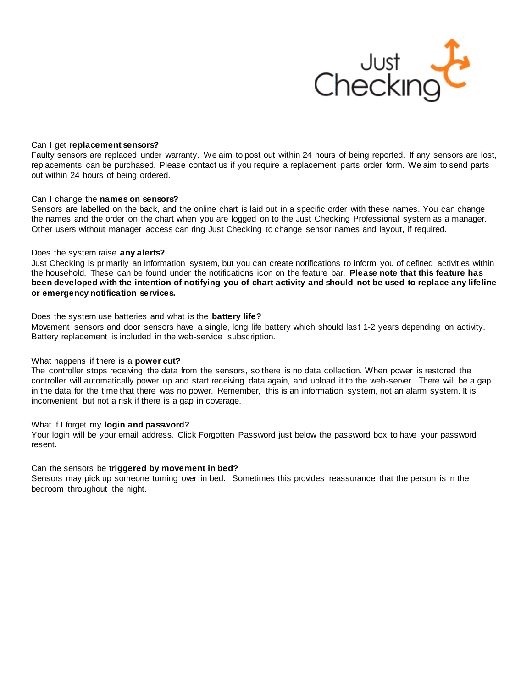

# Can I get **replacement sensors?**

Faulty sensors are replaced under warranty. We aim to post out within 24 hours of being reported. If any sensors are lost, replacements can be purchased. Please contact us if you require a replacement parts order form. We aim to send parts out within 24 hours of being ordered.

## Can I change the **names on sensors?**

Sensors are labelled on the back, and the online chart is laid out in a specific order with these names. You can change the names and the order on the chart when you are logged on to the Just Checking Professional system as a manager. Other users without manager access can ring Just Checking to change sensor names and layout, if required.

## Does the system raise **any alerts?**

Just Checking is primarily an information system, but you can create notifications to inform you of defined activities within the household. These can be found under the notifications icon on the feature bar. **Please note that this feature has been developed with the intention of notifying you of chart activity and should not be used to replace any lifeline or emergency notification services.**

## Does the system use batteries and what is the **battery life?**

Movement sensors and door sensors have a single, long life battery which should las t 1-2 years depending on activity. Battery replacement is included in the web-service subscription.

# What happens if there is a **power cut?**

The controller stops receiving the data from the sensors, so there is no data collection. When power is restored the controller will automatically power up and start receiving data again, and upload it to the web-server. There will be a gap in the data for the time that there was no power. Remember, this is an information system, not an alarm system. It is inconvenient but not a risk if there is a gap in coverage.

#### What if I forget my **login and password?**

Your login will be your email address. Click Forgotten Password just below the password box to have your password resent.

# Can the sensors be **triggered by movement in bed?**

Sensors may pick up someone turning over in bed. Sometimes this provides reassurance that the person is in the bedroom throughout the night.